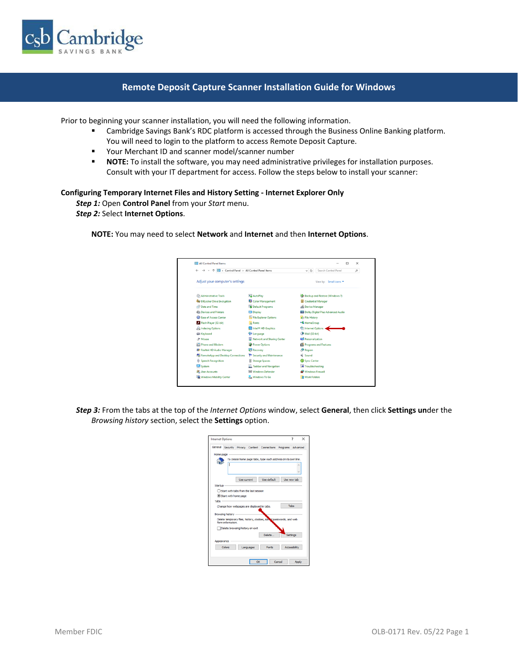

## **Remote Deposit Capture Scanner Installation Guide for Windows**

Prior to beginning your scanner installation, you will need the following information.

- **■** Cambridge Savings Bank's RDC platform is accessed through the Business Online Banking platform. You will need to login to the platform to access Remote Deposit Capture.
- Your Merchant ID and scanner model/scanner number
- **NOTE:** To install the software, you may need administrative privileges for installation purposes. Consult with your IT department for access. Follow the steps below to install your scanner:

#### **Configuring Temporary Internet Files and History Setting - Internet Explorer Only**

*Step 1:* Open **Control Panel** from your *Start* menu.

*Step 2:* Select **Internet Options**.

**NOTE:** You may need to select **Network** and **Internet** and then **Internet Options**.

| Control Panel > All Control Panel Items<br>$\leftarrow$ |                               | Search Control Panel<br>$\vee$ 0<br>مر       |
|---------------------------------------------------------|-------------------------------|----------------------------------------------|
| Adjust your computer's settings                         |                               | View by: Small icons                         |
| <b>ER Administrative Tools</b>                          | <b>Ba</b> AutoPlay            | <b>12</b> Backup and Restore (Windows 7)     |
| <b>By BitLocker Drive Encryption</b>                    | Color Management              | <b>B</b> Credential Manager                  |
| Date and Time                                           | Default Programs              | Device Manager                               |
| <b>Rts</b> Devices and Printers                         | Display                       | <b>Did</b> Dolby Digital Plus Advanced Audio |
| <b>B</b> Ease of Access Center                          | File Explorer Options         | <b>C</b> File History                        |
| Flash Player (32-bit)                                   | A Fonts                       | · HomeGroup                                  |
| <b>A</b> Indexing Options                               | <b>ERI</b> Intel® HD Graphics | Internet Options +                           |
| E Keyboard                                              | <b>SF</b> Language            | Mail (32-bit)                                |
| <b><i>A</i></b> Mouse                                   | Network and Sharing Center    | Personalization                              |
| Phone and Modem                                         | Power Options                 | Programs and Features                        |
| Realtek HD Audio Manager                                | <b>C</b> Recovery             | Region                                       |
| RemoteApp and Desktop Connections                       | Security and Maintenance      | Sound                                        |
| <b><i>O</i></b> Speech Recognition                      | Storage Spaces                | Sync Center                                  |
| System                                                  | Taskbar and Navigation        | Troubleshooting                              |
| <b>SE</b> User Accounts                                 | <b>III</b> Windows Defender   | <b>Windows Firewall</b>                      |
| Windows Mobility Center                                 | Windows To Go                 | <b>Work Folders</b>                          |

*Step 3:* From the tabs at the top of the *Internet Options* window, select **General**, then click **Settings un**der the *Browsing history* section, select the **Settings** option.

| <b>Internet Options</b>                                                                 | <sup>2</sup><br>× |
|-----------------------------------------------------------------------------------------|-------------------|
| General Security Privacy Content Connections Programs Advanced                          |                   |
| Home page                                                                               |                   |
| To create home page tabs, type each address on its own line.                            |                   |
| Use default<br>Use current                                                              | Use new tab       |
| Startup                                                                                 |                   |
| ○ Start with tabs from the last session                                                 |                   |
| Start with home page                                                                    |                   |
| Tabe                                                                                    |                   |
| Change how webpages are displayed in tabs.                                              | Tabs              |
| Browsing history                                                                        |                   |
| Delete temporary fles, history, cookies, saw if passwords, and web<br>form information. |                   |
| Delete browsing history on exit                                                         |                   |
| Delete                                                                                  | Settings          |
| Appearance                                                                              |                   |
| Colors<br>Languages<br>Fonts                                                            | Accessibility     |
|                                                                                         |                   |
| OK<br>Cancel                                                                            | Apply             |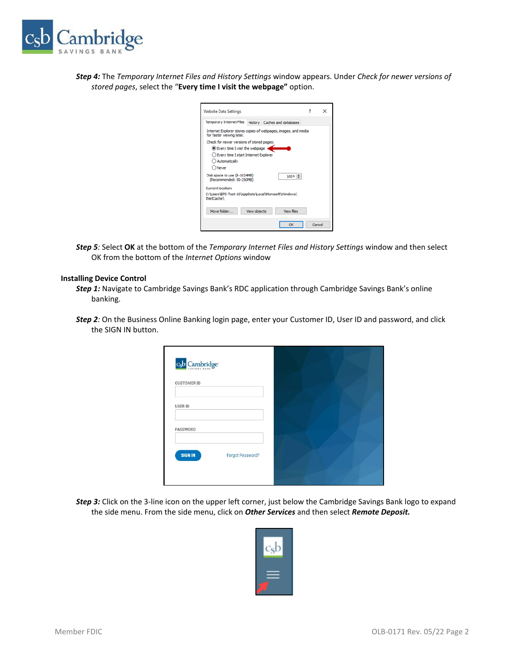

*Step 4:* The *Temporary Internet Files and History Settings* window appears. Under *Check for newer versions of stored pages*, select the "**Every time I visit the webpage"** option.

| <b>Website Data Settings</b>                                                                |              |                   | ×      |
|---------------------------------------------------------------------------------------------|--------------|-------------------|--------|
| Temporary Internet Files History Caches and databases                                       |              |                   |        |
| Internet Explorer stores copies of webpages, images, and media<br>for faster viewing later. |              |                   |        |
| Check for newer versions of stored pages:                                                   |              |                   |        |
| Every time I visit the webpage                                                              |              |                   |        |
| ○ Every time I start Internet Explorer                                                      |              |                   |        |
| ○ Automatically                                                                             |              |                   |        |
| $\bigcirc$ Never                                                                            |              |                   |        |
| Disk space to use (8-1024MB)<br>(Recommended: 50-250MB)                                     |              | $1024 -$          |        |
| Current location:                                                                           |              |                   |        |
| C:\Users\EPS-Test-10\AppData\Local\Microsoft\Windows\<br><b>INetCache\</b>                  |              |                   |        |
| Move folder                                                                                 | View objects | <b>View files</b> |        |
|                                                                                             |              | OK                | Cancel |

*Step 5:* Select **OK** at the bottom of the *Temporary Internet Files and History Settings* window and then select OK from the bottom of the *Internet Options* window

## **Installing Device Control**

- *Step 1:* Navigate to Cambridge Savings Bank's RDC application through Cambridge Savings Bank's online banking.
- *Step 2:* On the Business Online Banking login page, enter your Customer ID, User ID and password, and click the SIGN IN button.



*Step 3:* Click on the 3-line icon on the upper left corner, just below the Cambridge Savings Bank logo to expand the side menu. From the side menu, click on *Other Services* and then select *Remote Deposit.*

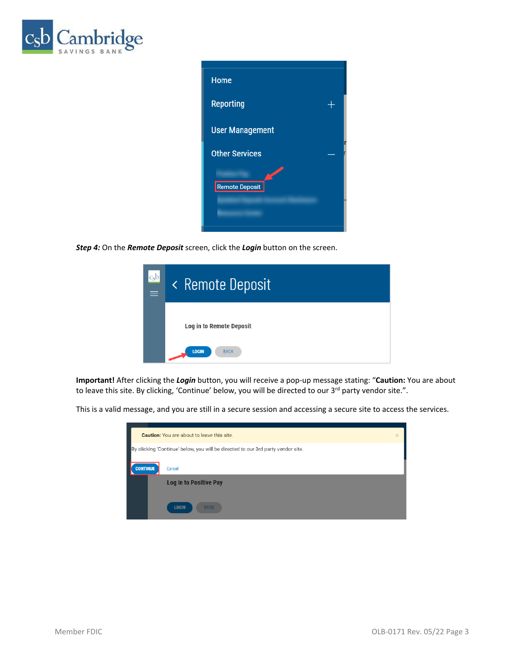



*Step 4:* On the *Remote Deposit* screen, click the *Login* button on the screen.

| c <sub>s</sub> b<br>$\equiv$ | < Remote Deposit                |
|------------------------------|---------------------------------|
|                              | <b>Log in to Remote Deposit</b> |
|                              | <b>LOGIN</b><br><b>BACK</b>     |

**Important!** After clicking the *Login* button, you will receive a pop-up message stating: "**Caution:** You are about to leave this site. By clicking, 'Continue' below, you will be directed to our 3<sup>rd</sup> party vendor site.".

This is a valid message, and you are still in a secure session and accessing a secure site to access the services.

|                 | <b>Caution:</b> You are about to leave this site.                                | $\times$ |
|-----------------|----------------------------------------------------------------------------------|----------|
|                 | By clicking 'Continue' below, you will be directed to our 3rd party vendor site. |          |
|                 |                                                                                  |          |
| <b>CONTINUE</b> | Cancel                                                                           |          |
|                 | <b>Log in to Positive Pay</b>                                                    |          |
|                 |                                                                                  |          |
|                 | <b>LOGIN</b><br><b>BACK</b>                                                      |          |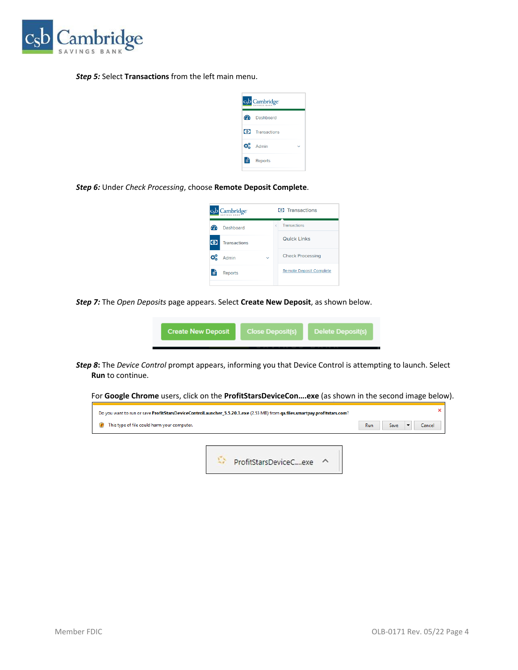

### *Step 5:* Select **Transactions** from the left main menu.



*Step 6:* Under *Check Processing*, choose **Remote Deposit Complete**.

| c <sub>s</sub> b Cambridge <sup>-</sup> |              |   | <b>(0)</b> Transactions        |
|-----------------------------------------|--------------|---|--------------------------------|
| <b>Dashboard</b>                        |              | Ł | <b>Transactions</b>            |
| $\bullet$<br><b>Transactions</b>        |              |   | <b>Quick Links</b>             |
| đP.<br>Admin                            | $\checkmark$ |   | <b>Check Processing</b>        |
| Ħ<br><b>Reports</b>                     |              |   | <b>Remote Deposit Complete</b> |
|                                         |              |   |                                |

*Step 7:* The *Open Deposits* page appears. Select **Create New Deposit**, as shown below.

縣

|--|

*Step 8***:** The *Device Control* prompt appears, informing you that Device Control is attempting to launch. Select **Run** to continue.

For **Google Chrome** users, click on the **ProfitStarsDeviceCon….exe** (as shown in the second image below).

|                                             | Do you want to run or save ProfitStarsDeviceControlLauncher 5.5.20.3.exe (2.53 MB) from qa.files.smartpay.profitstars.com? |     |      |        |
|---------------------------------------------|----------------------------------------------------------------------------------------------------------------------------|-----|------|--------|
| This type of file could harm your computer. |                                                                                                                            | Run | Save | Cancel |
|                                             |                                                                                                                            |     |      |        |
|                                             |                                                                                                                            |     |      |        |

ProfitStarsDeviceC....exe ^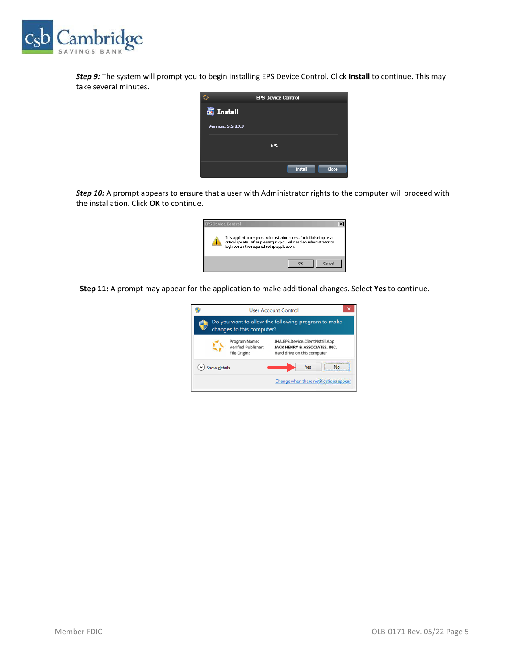

*Step 9:* The system will prompt you to begin installing EPS Device Control. Click **Install** to continue. This may take several minutes.

|                          | <b>EPS Device Control</b> |
|--------------------------|---------------------------|
| <b>T</b> Install         |                           |
| <b>Version: 5.5.20.3</b> |                           |
|                          | 0.96                      |
|                          |                           |
|                          | <b>Install</b><br>Close   |

*Step 10:* A prompt appears to ensure that a user with Administrator rights to the computer will proceed with the installation. Click **OK** to continue.

| <b>EPS Device Control</b>                                                                                                                                                                     |  |
|-----------------------------------------------------------------------------------------------------------------------------------------------------------------------------------------------|--|
| This application requires Administrator access for initial setup or a<br>critical update. After pressing Ok you will need an Administrator to<br>login to run the required setup application. |  |
| Cancel                                                                                                                                                                                        |  |

**Step 11:** A prompt may appear for the application to make additional changes. Select **Yes** to continue.

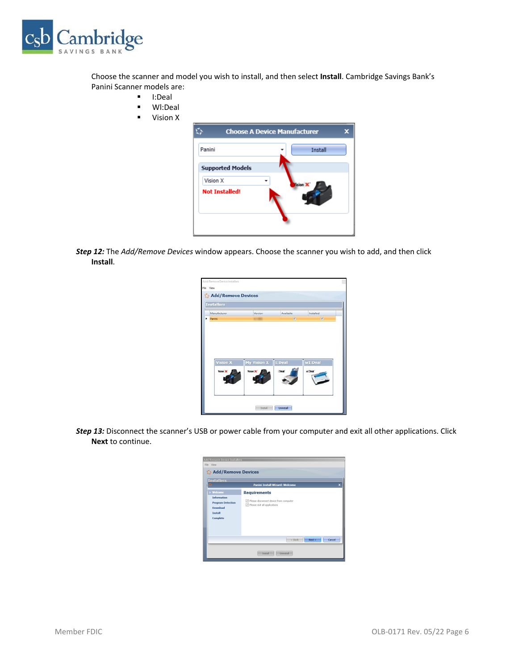

Choose the scanner and model you wish to install, and then select **Install**. Cambridge Savings Bank's Panini Scanner models are:

- I:Deal
- Wl:Deal
- Vision X

|                         | <b>Choose A Device Manufacturer</b> |  |
|-------------------------|-------------------------------------|--|
| Panini                  | Install                             |  |
| <b>Supported Models</b> |                                     |  |
| Vision X                | lision                              |  |
| <b>Not Installed!</b>   |                                     |  |
|                         |                                     |  |

*Step 12:* The *Add/Remove Devices* window appears. Choose the scanner you wish to add, and then click **Install**.

| <b>Installers</b> |                    |               |               |
|-------------------|--------------------|---------------|---------------|
| Manufacturer      | Version            | Available     | Installed     |
| Panini            |                    | $\mathcal{A}$ | $\mathcal{L}$ |
|                   |                    |               |               |
| Vision X          | My Vision X 1:Deal |               | wI:Deal       |
| <b>Yislan X</b>   | <b>Yalon X</b>     | Deal'         | ALCOHOL       |

*Step 13:* Disconnect the scanner's USB or power cable from your computer and exit all other applications. Click **Next** to continue.

| Add/Remove Device Installers<br>File View                                                           |                                                                                                 |  |  |  |
|-----------------------------------------------------------------------------------------------------|-------------------------------------------------------------------------------------------------|--|--|--|
| Add/Remove Devices                                                                                  |                                                                                                 |  |  |  |
| Installers                                                                                          | Panini Install Wizard: Welcome<br>$\mathbf{x}$                                                  |  |  |  |
| Welcome<br><b>Information</b><br><b>Program Detection</b><br>Download<br><b>Tostall</b><br>Complete | <b>Requirements</b><br>Please disconnect device from computer<br>√ Please exit all applications |  |  |  |
|                                                                                                     | Next<br>Cancel<br>$<$ Back<br>Uninstall<br>Install                                              |  |  |  |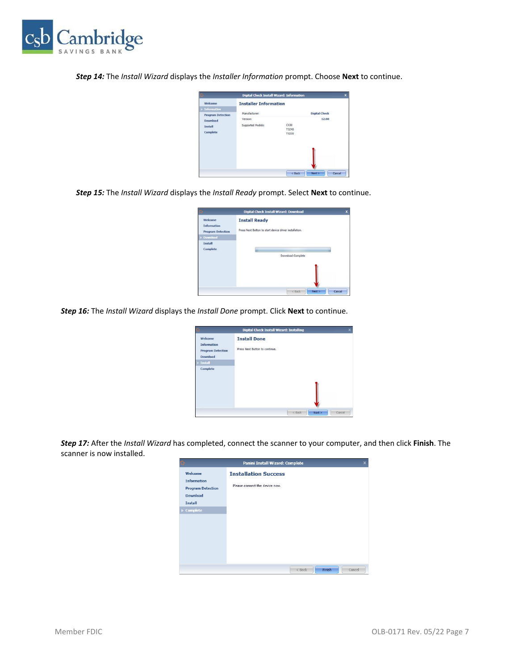

*Step 14:* The *Install Wizard* displays the *Installer Information* prompt. Choose **Next** to continue.

| <b>Digital Check Install Wizard: Information</b>              |                                      | ×                                             |        |
|---------------------------------------------------------------|--------------------------------------|-----------------------------------------------|--------|
| Welcome                                                       | <b>Installer Information</b>         |                                               |        |
| $\blacktriangleright$ Information<br><b>Program Detection</b> | Manufacturer:                        | <b>Digital Check</b>                          |        |
| <b>Download</b><br><b>Install</b><br>Complete                 | Version:<br><b>Supported Models:</b> | 12.00<br>CX30<br><b>TS240</b><br><b>TS230</b> |        |
|                                                               |                                      | $<$ Back<br>Next                              | Cancel |

*Step 15:* The *Install Wizard* displays the *Install Ready* prompt. Select **Next** to continue.

|                                                                       | Digital Check Install Wizard: Download                                         | x      |
|-----------------------------------------------------------------------|--------------------------------------------------------------------------------|--------|
| Welcome<br><b>Information</b><br><b>Program Detection</b><br>Download | <b>Install Ready</b><br>Press Next Button to start device driver installation. |        |
| <b>Install</b><br>Complete                                            | Download Complete                                                              |        |
|                                                                       | Next<br>< Back                                                                 | Cancel |

*Step 16:* The *Install Wizard* displays the *Install Done* prompt. Click **Next** to continue.

|                                                                                                | Digital Check Install Wizard: Installing<br>×         |
|------------------------------------------------------------------------------------------------|-------------------------------------------------------|
| Welcome<br><b>Information</b><br><b>Program Detection</b><br><b>Download</b><br><b>Install</b> | <b>Install Done</b><br>Press Next Button to continue. |
| Complete                                                                                       |                                                       |
|                                                                                                | < Back<br>Cancel<br>Next                              |

*Step 17:* After the *Install Wizard* has completed, connect the scanner to your computer, and then click **Finish**. The scanner is now installed.

| Panini Install Wizard: Complete<br>×                                                                              |                                                               |  |
|-------------------------------------------------------------------------------------------------------------------|---------------------------------------------------------------|--|
| Welcome<br><b>Information</b><br><b>Program Detection</b><br><b>Download</b><br><b>Install</b><br><b>Complete</b> | <b>Installation Success</b><br>Please connect the device now. |  |
|                                                                                                                   | Finish<br>$<$ Back<br>Cancel                                  |  |